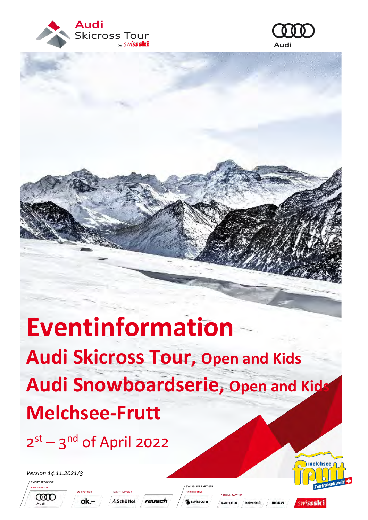



# **Eventinformation Audi Skicross Tour, Open and Kids Audi Snowboardserie, Open and Kids Melchsee-Frutt**

 $2^{st}$  – 3<sup>nd</sup> of April 2022

ok.

*Version 14.11.2021/3*

**EVENT SPONSOR** 







reusch

RAIFFEISEN helvetia<sup>4</sup>

**B**BKW

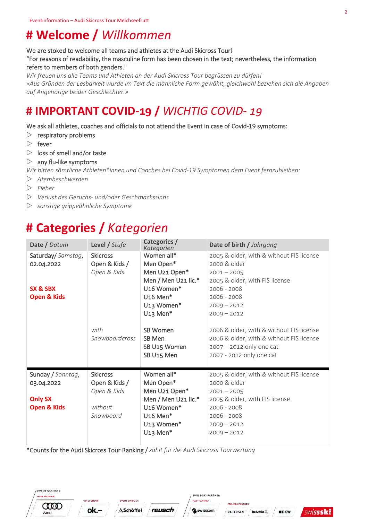### **# Welcome /** *Willkommen*

We are stoked to welcome all teams and athletes at the Audi Skicross Tour! "For reasons of readability, the masculine form has been chosen in the text; nevertheless, the information refers to members of both genders."

*Wir freuen uns alle Teams und Athleten an der Audi Skicross Tour begrüssen zu dürfen! «Aus Gründen der Lesbarkeit wurde im Text die männliche Form gewählt, gleichwohl beziehen sich die Angaben auf Angehörige beider Geschlechter.»* 

### **# IMPORTANT COVID-19 /** *WICHTIG COVID- 19*

### We ask all athletes, coaches and officials to not attend the Event in case of Covid-19 symptoms:

- $\triangleright$  respiratory problems
- $\triangleright$  fever
- $\triangleright$  loss of smell and/or taste
- $\triangleright$  any flu-like symptoms

*Wir bitten sämtliche Athleten\*innen und Coaches bei Covid-19 Symptomen dem Event fernzubleiben:*

- *Atembeschwerden*
- *Fieber*
- *Verlust des Geruchs- und/oder Geschmackssinns*
- *sonstige grippeähnliche Symptome*

### **# Categories /** *Kategorien*

| Date / Datum           | Level / Stufe   | Categories /<br>Kategorien | Date of birth / Jahrgang                 |
|------------------------|-----------------|----------------------------|------------------------------------------|
| Saturday/ Samstag,     | <b>Skicross</b> | Women all*                 | 2005 & older, with & without FIS license |
| 02.04.2022             | Open & Kids /   | Men Open*                  | 2000 & older                             |
|                        | Open & Kids     | Men U21 Open*              | $2001 - 2005$                            |
|                        |                 | Men / Men U21 lic.*        | 2005 & older, with FIS license           |
| SX & SBX               |                 | U <sub>16</sub> Women*     | $2006 - 2008$                            |
| <b>Open &amp; Kids</b> |                 | $U16$ Men <sup>*</sup>     | $2006 - 2008$                            |
|                        |                 | U <sub>13</sub> Women*     | $2009 - 2012$                            |
|                        |                 | U <sub>13</sub> Men*       | $2009 - 2012$                            |
|                        |                 |                            |                                          |
|                        | with            | <b>SB Women</b>            | 2006 & older, with & without FIS license |
|                        | Snowboardcross  | SB Men                     | 2006 & older, with & without FIS license |
|                        |                 | SB U15 Women               | $2007 - 2012$ only one cat               |
|                        |                 | SB U15 Men                 | 2007 - 2012 only one cat                 |
|                        |                 |                            |                                          |
| Sunday / Sonntag,      | <b>Skicross</b> | Women all*                 | 2005 & older, with & without FIS license |
| 03.04.2022             | Open & Kids /   | Men Open*                  | 2000 & older                             |
|                        | Open & Kids     | Men U21 Open*              | $2001 - 2005$                            |
| <b>Only SX</b>         |                 | Men / Men U21 lic.*        | 2005 & older, with FIS license           |
| <b>Open &amp; Kids</b> | without         | U <sub>16</sub> Women*     | $2006 - 2008$                            |
|                        | Snowboard       | $U16$ Men*                 | $2006 - 2008$                            |
|                        |                 | U <sub>13</sub> Women*     | $2009 - 2012$                            |
|                        |                 | $U13$ Men*                 | $2009 - 2012$                            |
|                        |                 |                            |                                          |

\*Counts for the Audi Skicross Tour Ranking / *zählt für die Audi Skicross Tourwertung*





**EVENT SUPPLIER ASchöffel** reusch SWISS-SKI PARTNER **AIN PARTNER** swisscom

**PREMIUM PARTNE** 

RAIFFEISEN



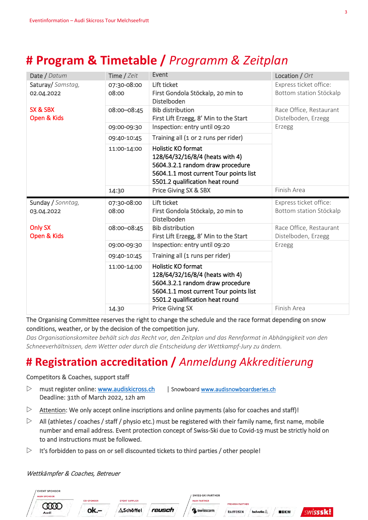## **# Program & Timetable /** *Programm & Zeitplan*

| Date / Datum                    | Time / Zeit          | Event                                                                                                                                                                         | Location / Ort                                    |  |
|---------------------------------|----------------------|-------------------------------------------------------------------------------------------------------------------------------------------------------------------------------|---------------------------------------------------|--|
| Saturay/ Samstag,<br>02.04.2022 | 07:30-08:00<br>08:00 | Lift ticket<br>First Gondola Stöckalp, 20 min to<br>Distelboden                                                                                                               | Express ticket office:<br>Bottom station Stöckalp |  |
| SX & SBX<br>Open & Kids         | 08:00-08:45          | <b>Bib distribution</b><br>First Lift Erzegg, 8' Min to the Start                                                                                                             | Race Office, Restaurant<br>Distelboden, Erzegg    |  |
|                                 | 09:00-09:30          | Inspection: entry until 09:20                                                                                                                                                 | Erzegg                                            |  |
|                                 | 09:40-10:45          | Training all (1 or 2 runs per rider)                                                                                                                                          |                                                   |  |
|                                 | 11:00-14:00          | Holistic KO format<br>128/64/32/16/8/4 (heats with 4)<br>5604.3.2.1 random draw procedure<br>5604.1.1 most current Tour points list<br>5501.2 qualification heat round        |                                                   |  |
|                                 | 14:30                | Price Giving SX & SBX                                                                                                                                                         | Finish Area                                       |  |
|                                 |                      |                                                                                                                                                                               |                                                   |  |
| Sunday / Sonntag,<br>03.04.2022 | 07:30-08:00<br>08:00 | Lift ticket<br>First Gondola Stöckalp, 20 min to<br>Distelboden                                                                                                               | Express ticket office:<br>Bottom station Stöckalp |  |
| <b>Only SX</b><br>Open & Kids   | 08:00-08:45          | <b>Bib distribution</b><br>First Lift Erzegg, 8' Min to the Start                                                                                                             | Race Office, Restaurant<br>Distelboden, Erzegg    |  |
|                                 | 09:00-09:30          | Inspection: entry until 09:20                                                                                                                                                 | Erzegg                                            |  |
|                                 | 09:40-10:45          | Training all (1 runs per rider)                                                                                                                                               |                                                   |  |
|                                 | 11:00-14:00          | <b>Holistic KO format</b><br>128/64/32/16/8/4 (heats with 4)<br>5604.3.2.1 random draw procedure<br>5604.1.1 most current Tour points list<br>5501.2 qualification heat round |                                                   |  |

The Organising Committee reserves the right to change the schedule and the race format depending on snow conditions, weather, or by the decision of the competition jury.

*Das Organisationskomitee behält sich das Recht vor, den Zeitplan und das Rennformat in Abhängigkeit von den Schneeverhältnissen, dem Wetter oder durch die Entscheidung der Wettkampf-Jury zu ändern.*

### **# Registration accreditation /** *Anmeldung Akkreditierung*

#### Competitors & Coaches, support staff

- $\triangleright$  must register online: [www.audiskicross.ch](http://www.audiskicross.ch/) | Snowboard www.audisnowboardseries.ch Deadline: 31th of March 2022, 12h am
- $\triangleright$  Attention: We only accept online inscriptions and online payments (also for coaches and staff)!
- $\triangleright$  All (athletes / coaches / staff / physio etc.) must be registered with their family name, first name, mobile number and email address. Event protection concept of Swiss-Ski due to Covid-19 must be strictly hold on to and instructions must be followed.
- $\triangleright$  It's forbidden to pass on or sell discounted tickets to third parties / other people!

#### Wettkämpfer & Coaches, Betreuer

| / EVENT SPONSOR<br><b>MAIN SPONSOR</b> |                   |                       |        | / SWISS-SKI PARTNER |                        |          |             |  |
|----------------------------------------|-------------------|-----------------------|--------|---------------------|------------------------|----------|-------------|--|
|                                        | <b>CO-SPONSOR</b> | <b>EVENT SUPPLIER</b> |        | <b>MAIN PARTNER</b> | <b>PREMIUM PARTNER</b> |          |             |  |
| Audi                                   | ok.               | Schöffel              | reusch | <b>SWisscom</b>     | RAIFFEISEN             | helvetia | <b>BBKW</b> |  |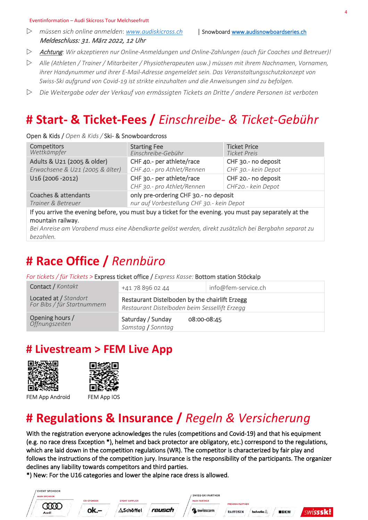#### Eventinformation – Audi Skicross Tour Melchseefrutt

 *müssen sich online anmelden*: *[www.audiskicross.ch](http://www.audiskicross.ch/)* | Snowboar[d www.audisnowboardseries.ch](http://www.audisnowboardseries.ch/) Meldeschluss: 31. März 2022, 12 Uhr

- Achtung*: Wir akzeptieren nur Online-Anmeldungen und Online-Zahlungen (auch für Coaches und Betreuer)!*
- *Alle (Athleten / Trainer / Mitarbeiter / Physiotherapeuten usw.) müssen mit ihrem Nachnamen, Vornamen, ihrer Handynummer und ihrer E-Mail-Adresse angemeldet sein. Das Veranstaltungsschutzkonzept von Swiss-Ski aufgrund von Covid-19 ist strikte einzuhalten und die Anweisungen sind zu befolgen.*
- *Die Weitergabe oder der Verkauf von ermässigten Tickets an Dritte / andere Personen ist verboten*

### **# Start- & Ticket-Fees /** *Einschreibe- & Ticket-Gebühr*

#### Open & Kids / *Open & Kids /* Ski- & Snowboardcross

| <b>Competitors</b><br>Wettkämpfer                                                                                            | <b>Starting Fee</b><br>Einschreibe-Gebühr | <b>Ticket Price</b><br><b>Ticket Preis</b> |  |
|------------------------------------------------------------------------------------------------------------------------------|-------------------------------------------|--------------------------------------------|--|
| Adults & U21 (2005 & older)                                                                                                  | CHF 40 .- per athlete/race                | CHF 30.- no deposit                        |  |
| Erwachsene & U21 (2005 & älter)                                                                                              | CHF 40.- pro Athlet/Rennen                | CHF 30.- kein Depot                        |  |
| U16 (2006 - 2012)                                                                                                            | CHF 30 .- per athlete/race                | CHF 20 .- no deposit                       |  |
|                                                                                                                              | CHF 30.- pro Athlet/Rennen                | CHF20.- kein Depot                         |  |
| Coaches & attendants                                                                                                         | only pre-ordering CHF 30 .- no deposit    |                                            |  |
| Trainer & Betreuer                                                                                                           | nur auf Vorbestellung CHF 30.- kein Depot |                                            |  |
| If you arrive the evening before, you must buy a ticket for the evening. you must pay separately at the<br>mountain railway. |                                           |                                            |  |

*Bei Anreise am Vorabend muss eine Abendkarte gelöst werden, direkt zusätzlich bei Bergbahn separat zu bezahlen.*

### **# Race Office /** *Rennbüro*

*For tickets / für Tickets >* Express ticket office / *Express Kasse:* Bottom station Stöckalp

| Contact / Kontakt                                    | +41 78 896 02 44                                                                                | info@fem-service.ch |  |
|------------------------------------------------------|-------------------------------------------------------------------------------------------------|---------------------|--|
| Located at / Standort<br>For Bibs / für Startnummern | Restaurant Distelboden by the chairlift Erzegg<br>Restaurant Distelboden beim Sessellift Erzegg |                     |  |
| Opening hours /<br>Öffnungszeiten                    | Saturday / Sunday<br>08:00-08:45<br>Samstag / Sonntag                                           |                     |  |

### **# Livestream > FEM Live App**





FEM App Android FEM App IOS



### **# Regulations & Insurance /** *Regeln & Versicherung*

With the registration everyone acknowledges the rules (competitions and Covid-19) and that his equipment (e.g. no race dress Exception \*), helmet and back protector are obligatory, etc.) correspond to the regulations, which are laid down in the competition regulations (WR). The competitor is characterized by fair play and follows the instructions of the competition jury. Insurance is the responsibility of the participants. The organizer declines any liability towards competitors and third parties.

\*) New: For the U16 categories and lower the alpine race dress is allowed.

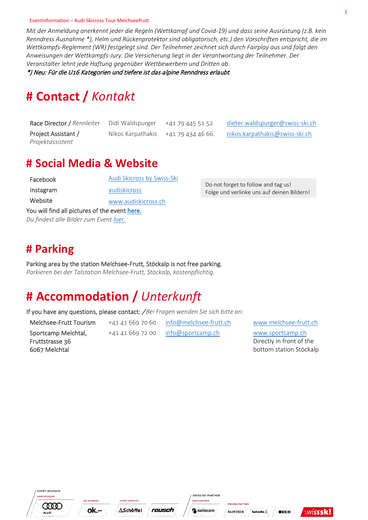#### Eventinformation – Audi Skicross Tour Melchseefrutt

*Mit der Anmeldung anerkennt jeder die Regeln (Wettkampf und Covid-19) und dass seine Ausrüstung (z.B. kein Renndress Ausnahme \*), Helm und Rückenprotektor sind obligatorisch, etc.) den Vorschriften entspricht, die im Wettkampfs-Reglement (WR) festgelegt sind. Der Teilnehmer zeichnet sich durch Fairplay aus und folgt den Anweisungen der Wettkampfs-Jury. Die Versicherung liegt in der Verantwortung der Teilnehmer. Der Veranstalter lehnt jede Haftung gegenüber Wettbewerbern und Dritten ab.*

\*) Neu: Für die U16 Kategorien und tiefere ist das alpine Renndress erlaubt*.* 

### **# Contact /** *Kontakt*

| Race Director / Rennleiter | Didi Waldspurger  | +41 79 445 51 52  | dieter.waldspurger@swiss-ski.ch |
|----------------------------|-------------------|-------------------|---------------------------------|
| Project Assistant /        | Nikos Karpathakis | +41 79 434 46 66. | nikos.karpathakis@swiss-ski.ch  |
| Projektassistent           |                   |                   |                                 |

### **# Social Media & Website**

| You will find all pictures of the event here. |                            |  |
|-----------------------------------------------|----------------------------|--|
| Website                                       | www.audiskicross.ch        |  |
| Instagram                                     | audiskicross               |  |
| Facebook                                      | Audi Skicross by Swiss-Ski |  |

*Du findest alle Bilder zum Even[t hier.](https://swissski.canto.global/v/medienportal/folder/KF488?from=fitView&scrollTo=0&gOrderProp=name&gSortingForward=false&display=fitView&viewIndex=0)*

Do not forget to follow and tag us! Folge und verlinke uns auf deinen Bildern!

### **# Parking**

Parking area by the station Melchsee-Frutt, Stöckalp is not free parking. *Parkieren bei der Talstation Melchsee-Frutt, Stöckalp, kostenpflichtig.*

### **# Accommodation /** *Unterkunft*

If you have any questions, please contact: / *Bei Fragen wenden Sie sich bitte an:*

Melchsee-Frutt Tourism +41 41 669 70 60 [info@melchsee-frutt.ch](mailto:info@melchsee-frutt.ch) [www.melchsee-frutt.ch](http://www.melchsee-frutt.ch/)

Sportcamp Melchtal, Fruttstrasse 36 6067 Melchtal

+41 41 669 72 00 [info@sportcamp.ch](mailto:info@sportcamp.ch) [www.sportcamp.ch](http://www.sportcamp.ch/) Directly in front of the bottom station Stöckalp

**EVENT SPONSOR HAIN SPONSOL COOD** Audi

ok.-





**PREMIUM PARTNE** 

**RAIFFEISEN** helvetia.



**BBKW**